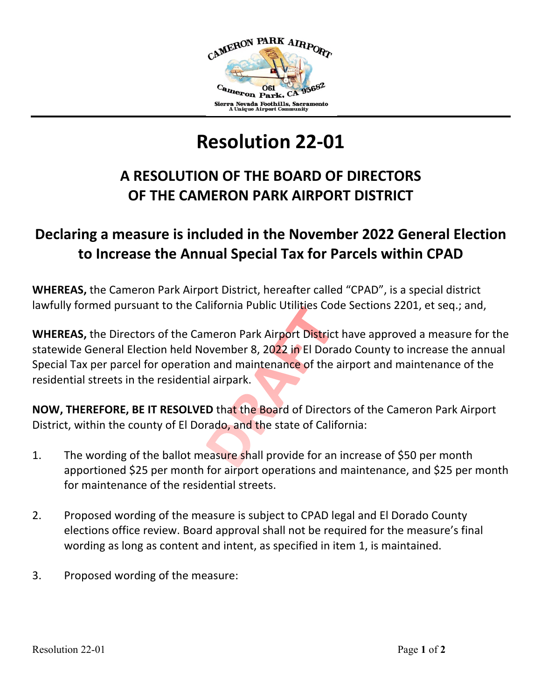

## **Resolution 22-01**

## **A RESOLUTION OF THE BOARD OF DIRECTORS OF THE CAMERON PARK AIRPORT DISTRICT**

## **Declaring a measure is included in the November 2022 General Election to Increase the Annual Special Tax for Parcels within CPAD**

**WHEREAS,** the Cameron Park Airport District, hereafter called "CPAD", is a special district lawfully formed pursuant to the California Public Utilities Code Sections 2201, et seq.; and,

**WHEREAS,** the Directors of the Cameron Park Airport District have approved a measure for the statewide General Election held November 8, 2022 in El Dorado County to increase the annual Special Tax per parcel for operation and maintenance of the airport and maintenance of the residential streets in the residential airpark.

**NOW, THEREFORE, BE IT RESOLVED** that the Board of Directors of the Cameron Park Airport District, within the county of El Dorado, and the state of California:

- 1. The wording of the ballot measure shall provide for an increase of \$50 per month apportioned \$25 per month for airport operations and maintenance, and \$25 per month for maintenance of the residential streets.
- 2. Proposed wording of the measure is subject to CPAD legal and El Dorado County elections office review. Board approval shall not be required for the measure's final wording as long as content and intent, as specified in item 1, is maintained.
- 3. Proposed wording of the measure: